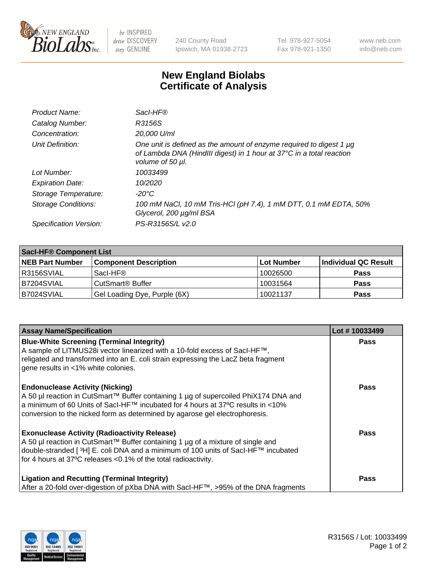

 $be$  INSPIRED drive DISCOVERY stay GENUINE

240 County Road Ipswich, MA 01938-2723 Tel 978-927-5054 Fax 978-921-1350 www.neb.com info@neb.com

## **New England Biolabs Certificate of Analysis**

| Product Name:              | Sacl-HF®                                                                                                                                                        |
|----------------------------|-----------------------------------------------------------------------------------------------------------------------------------------------------------------|
| Catalog Number:            | R3156S                                                                                                                                                          |
| Concentration:             | 20,000 U/ml                                                                                                                                                     |
| Unit Definition:           | One unit is defined as the amount of enzyme required to digest 1 µg<br>of Lambda DNA (HindIII digest) in 1 hour at 37°C in a total reaction<br>volume of 50 µl. |
| Lot Number:                | 10033499                                                                                                                                                        |
| <b>Expiration Date:</b>    | 10/2020                                                                                                                                                         |
| Storage Temperature:       | -20°C                                                                                                                                                           |
| <b>Storage Conditions:</b> | 100 mM NaCl, 10 mM Tris-HCl (pH 7.4), 1 mM DTT, 0.1 mM EDTA, 50%<br>Glycerol, 200 µg/ml BSA                                                                     |
| Specification Version:     | PS-R3156S/L v2.0                                                                                                                                                |

| <b>Saci-HF® Component List</b> |                              |            |                      |  |  |
|--------------------------------|------------------------------|------------|----------------------|--|--|
| <b>NEB Part Number</b>         | <b>Component Description</b> | Lot Number | Individual QC Result |  |  |
| I R3156SVIAL                   | Sacl-HF®                     | 10026500   | <b>Pass</b>          |  |  |
| IB7204SVIAL                    | CutSmart <sup>®</sup> Buffer | 10031564   | <b>Pass</b>          |  |  |
| B7024SVIAL                     | Gel Loading Dye, Purple (6X) | 10021137   | <b>Pass</b>          |  |  |

| <b>Assay Name/Specification</b>                                                                                                                                                                                                                                                                 | Lot #10033499 |
|-------------------------------------------------------------------------------------------------------------------------------------------------------------------------------------------------------------------------------------------------------------------------------------------------|---------------|
| <b>Blue-White Screening (Terminal Integrity)</b><br>A sample of LITMUS28i vector linearized with a 10-fold excess of SacI-HF™,<br>religated and transformed into an E. coli strain expressing the LacZ beta fragment<br>gene results in <1% white colonies.                                     | <b>Pass</b>   |
| <b>Endonuclease Activity (Nicking)</b><br>A 50 µl reaction in CutSmart™ Buffer containing 1 µg of supercoiled PhiX174 DNA and<br>a minimum of 60 Units of Sacl-HF™ incubated for 4 hours at 37°C results in <10%<br>conversion to the nicked form as determined by agarose gel electrophoresis. | <b>Pass</b>   |
| <b>Exonuclease Activity (Radioactivity Release)</b><br>A 50 µl reaction in CutSmart™ Buffer containing 1 µg of a mixture of single and<br> double-stranded [ 3H] E. coli DNA and a minimum of 100 units of Sacl-HF™ incubated<br>for 4 hours at 37°C releases <0.1% of the total radioactivity. | Pass          |
| <b>Ligation and Recutting (Terminal Integrity)</b><br>After a 20-fold over-digestion of pXba DNA with Sacl-HF™, >95% of the DNA fragments                                                                                                                                                       | Pass          |